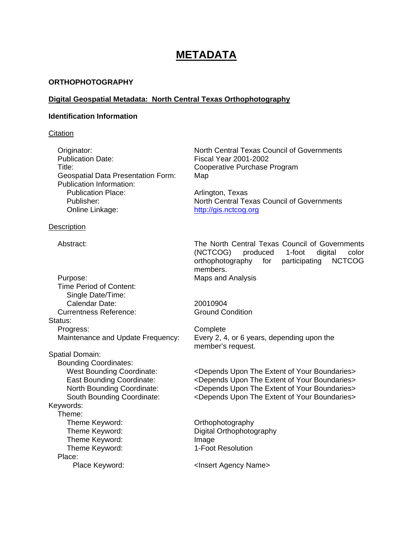# **METADATA**

## **ORTHOPHOTOGRAPHY**

## **Digital Geospatial Metadata: North Central Texas Orthophotography**

#### **Identification Information**

## **Citation**

Publication Date: Fiscal Year 2001-2002 Title: Cooperative Purchase Program Geospatial Data Presentation Form: Map Publication Information:<br>Publication Place: Online Linkage: [http://gis.nctcog.org](http://gis.nctcog.org/)

# **Description**

Purpose: Maps and Analysis Time Period of Content: Single Date/Time: Calendar Date: 20010904 Currentness Reference: Ground Condition Status: Progress: Complete Spatial Domain: Bounding Coordinates:

Keywords: Theme: Theme Keyword: Change of Communication of Communication of Communication Communication Communication Communication Communication Communication Communication Communication Communication Communication Communication Communica Theme Keyword: Digital Orthophotography Theme Keyword: Image Theme Keyword: 1-Foot Resolution Place:

Originator: North Central Texas Council of Governments

Arlington, Texas Publisher: North Central Texas Council of Governments

Abstract: The North Central Texas Council of Governments (NCTCOG) produced 1-foot digital color orthophotography for participating NCTCOG members.

Maintenance and Update Frequency: Every 2, 4, or 6 years, depending upon the member's request.

West Bounding Coordinate: <Depends Upon The Extent of Your Boundaries> East Bounding Coordinate: <Depends Upon The Extent of Your Boundaries> North Bounding Coordinate: <Depends Upon The Extent of Your Boundaries> South Bounding Coordinate: <Depends Upon The Extent of Your Boundaries>

Place Keyword:  $\blacksquare$  <Insert Agency Name>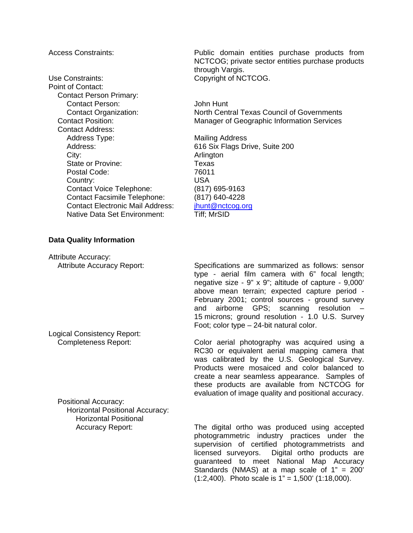Use Constraints: Copyright of NCTCOG. Point of Contact: Contact Person Primary: Contact Person: John Hunt Contact Address: Address Type: Mailing Address Address: 616 Six Flags Drive, Suite 200 City: **Arlington** State or Provine: Texas Postal Code: 76011 Country: USA Contact Voice Telephone: (817) 695-9163 Contact Facsimile Telephone: (817) 640-4228<br>Contact Electronic Mail Address: jhunt@nctcog.org Contact Electronic Mail Address: Native Data Set Environment: Tiff; MrSID

Access Constraints: Public domain entities purchase products from NCTCOG; private sector entities purchase products through Vargis.

Contact Organization: North Central Texas Council of Governments Contact Position: Manager of Geographic Information Services

#### **Data Quality Information**

Attribute Accuracy:

Logical Consistency Report:

Positional Accuracy: Horizontal Positional Accuracy: Horizontal Positional

Attribute Accuracy Report: Specifications are summarized as follows: sensor type - aerial film camera with 6" focal length; negative size - 9" x 9"; altitude of capture - 9,000' above mean terrain; expected capture period - February 2001; control sources - ground survey and airborne GPS; scanning resolution – 15 microns; ground resolution - 1.0 U.S. Survey Foot; color type – 24-bit natural color.

Completeness Report: Color aerial photography was acquired using a RC30 or equivalent aerial mapping camera that was calibrated by the U.S. Geological Survey. Products were mosaiced and color balanced to create a near seamless appearance. Samples of these products are available from NCTCOG for evaluation of image quality and positional accuracy.

Accuracy Report: The digital ortho was produced using accepted photogrammetric industry practices under the supervision of certified photogrammetrists and licensed surveyors. Digital ortho products are guaranteed to meet National Map Accuracy Standards (NMAS) at a map scale of 1" = 200'  $(1:2,400)$ . Photo scale is  $1" = 1,500'$   $(1:18,000)$ .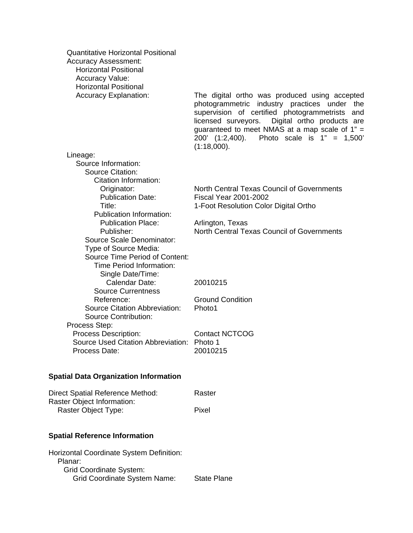| <b>Quantitative Horizontal Positional</b><br><b>Accuracy Assessment:</b><br><b>Horizontal Positional</b><br><b>Accuracy Value:</b><br><b>Horizontal Positional</b><br><b>Accuracy Explanation:</b> | The digital ortho was produced using accepted<br>photogrammetric industry practices under the<br>supervision of certified photogrammetrists and<br>licensed surveyors.<br>Digital ortho products are<br>guaranteed to meet NMAS at a map scale of $1" =$<br>200' (1:2,400).<br>Photo scale is $1" = 1,500'$<br>(1:18,000). |
|----------------------------------------------------------------------------------------------------------------------------------------------------------------------------------------------------|----------------------------------------------------------------------------------------------------------------------------------------------------------------------------------------------------------------------------------------------------------------------------------------------------------------------------|
| Lineage:                                                                                                                                                                                           |                                                                                                                                                                                                                                                                                                                            |
| Source Information:                                                                                                                                                                                |                                                                                                                                                                                                                                                                                                                            |
| <b>Source Citation:</b>                                                                                                                                                                            |                                                                                                                                                                                                                                                                                                                            |
| Citation Information:                                                                                                                                                                              |                                                                                                                                                                                                                                                                                                                            |
| Originator:                                                                                                                                                                                        | North Central Texas Council of Governments                                                                                                                                                                                                                                                                                 |
| <b>Publication Date:</b>                                                                                                                                                                           | <b>Fiscal Year 2001-2002</b>                                                                                                                                                                                                                                                                                               |
| Title:                                                                                                                                                                                             | 1-Foot Resolution Color Digital Ortho                                                                                                                                                                                                                                                                                      |
| <b>Publication Information:</b>                                                                                                                                                                    |                                                                                                                                                                                                                                                                                                                            |
| <b>Publication Place:</b>                                                                                                                                                                          | Arlington, Texas                                                                                                                                                                                                                                                                                                           |
| Publisher:                                                                                                                                                                                         | North Central Texas Council of Governments                                                                                                                                                                                                                                                                                 |
| Source Scale Denominator:<br>Type of Source Media:                                                                                                                                                 |                                                                                                                                                                                                                                                                                                                            |
| Source Time Period of Content:                                                                                                                                                                     |                                                                                                                                                                                                                                                                                                                            |
| Time Period Information:                                                                                                                                                                           |                                                                                                                                                                                                                                                                                                                            |
| Single Date/Time:                                                                                                                                                                                  |                                                                                                                                                                                                                                                                                                                            |
| Calendar Date:                                                                                                                                                                                     | 20010215                                                                                                                                                                                                                                                                                                                   |
| <b>Source Currentness</b>                                                                                                                                                                          |                                                                                                                                                                                                                                                                                                                            |
| Reference:                                                                                                                                                                                         | <b>Ground Condition</b>                                                                                                                                                                                                                                                                                                    |
| Source Citation Abbreviation:                                                                                                                                                                      | Photo1                                                                                                                                                                                                                                                                                                                     |
| <b>Source Contribution:</b>                                                                                                                                                                        |                                                                                                                                                                                                                                                                                                                            |
| Process Step:                                                                                                                                                                                      |                                                                                                                                                                                                                                                                                                                            |
| Process Description:                                                                                                                                                                               | <b>Contact NCTCOG</b>                                                                                                                                                                                                                                                                                                      |
| Source Used Citation Abbreviation: Photo 1<br>Process Date:                                                                                                                                        | 20010215                                                                                                                                                                                                                                                                                                                   |
|                                                                                                                                                                                                    |                                                                                                                                                                                                                                                                                                                            |
| <b>Spatial Data Organization Information</b>                                                                                                                                                       |                                                                                                                                                                                                                                                                                                                            |

| Direct Spatial Reference Method: | Raster |
|----------------------------------|--------|
| Raster Object Information:       |        |
| Raster Object Type:              | Pixel  |

# **Spatial Reference Information**

| Horizontal Coordinate System Definition: |                    |
|------------------------------------------|--------------------|
| Planar:                                  |                    |
| <b>Grid Coordinate System:</b>           |                    |
| <b>Grid Coordinate System Name:</b>      | <b>State Plane</b> |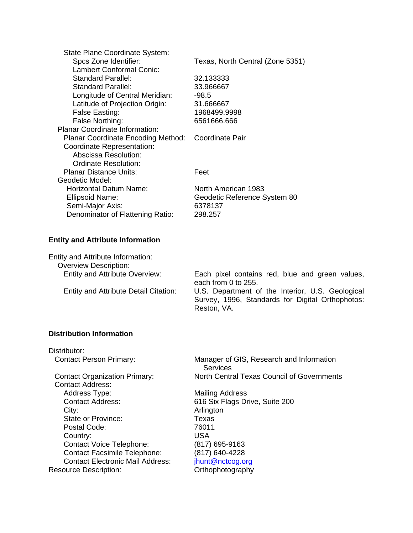| State Plane Coordinate System:        |                                  |
|---------------------------------------|----------------------------------|
| Spcs Zone Identifier:                 | Texas, North Central (Zone 5351) |
| <b>Lambert Conformal Conic:</b>       |                                  |
| <b>Standard Parallel:</b>             | 32.133333                        |
| Standard Parallel:                    | 33.966667                        |
| Longitude of Central Meridian:        | $-98.5$                          |
| Latitude of Projection Origin:        | 31.666667                        |
| False Easting:                        | 1968499.9998                     |
| False Northing:                       | 6561666.666                      |
| <b>Planar Coordinate Information:</b> |                                  |
| Planar Coordinate Encoding Method:    | Coordinate Pair                  |
| Coordinate Representation:            |                                  |
| Abscissa Resolution:                  |                                  |
| Ordinate Resolution:                  |                                  |
| Planar Distance Units:                | Feet                             |
| Geodetic Model:                       |                                  |
| Horizontal Datum Name:                | North American 1983              |
| <b>Ellipsoid Name:</b>                | Geodetic Reference System 80     |
| Semi-Major Axis:                      | 6378137                          |
| Denominator of Flattening Ratio:      | 298.257                          |
|                                       |                                  |

# **Entity and Attribute Information**

Entity and Attribute Information: Overview Description:<br>Entity and Attribute Overview: Each pixel contains red, blue and green values, each from 0 to 255. Entity and Attribute Detail Citation: U.S. Department of the Interior, U.S. Geological Survey, 1996, Standards for Digital Orthophotos: Reston, VA.

# **Distribution Information**

| Distributor:                            |                                                      |
|-----------------------------------------|------------------------------------------------------|
| <b>Contact Person Primary:</b>          | Manager of GIS, Research and Information<br>Services |
| <b>Contact Organization Primary:</b>    | North Central Texas Council of Governments           |
| <b>Contact Address:</b>                 |                                                      |
| <b>Address Type:</b>                    | Mailing Address                                      |
| <b>Contact Address:</b>                 | 616 Six Flags Drive, Suite 200                       |
| City:                                   | Arlington                                            |
| State or Province:                      | Texas                                                |
| Postal Code:                            | 76011                                                |
| Country:                                | <b>USA</b>                                           |
| <b>Contact Voice Telephone:</b>         | (817) 695-9163                                       |
| <b>Contact Facsimile Telephone:</b>     | (817) 640-4228                                       |
| <b>Contact Electronic Mail Address:</b> | jhunt@nctcog.org                                     |
| <b>Resource Description:</b>            | Orthophotography                                     |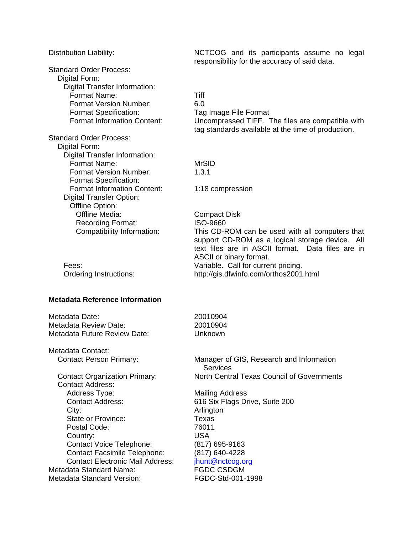Distribution Liability: NCTCOG and its participants assume no legal responsibility for the accuracy of said data. Standard Order Process: Digital Form: Digital Transfer Information: Format Name: Tiff Format Version Number: 6.0 Format Specification: Tag Image File Format Format Information Content: Uncompressed TIFF. The files are compatible with tag standards available at the time of production. Standard Order Process: Digital Form: Digital Transfer Information: Format Name: MrSID Format Version Number: 1.3.1 Format Specification: Format Information Content: 1:18 compression Digital Transfer Option: Offline Option: Offline Media: Compact Disk Recording Format: **ISO-9660** Compatibility Information: This CD-ROM can be used with all computers that support CD-ROM as a logical storage device. All text files are in ASCII format. Data files are in ASCII or binary format. Fees: **Fees:** Variable. Call for current pricing. Ordering Instructions: http://gis.dfwinfo.com/orthos2001.html **Metadata Reference Information**  Metadata Date: 20010904 Metadata Review Date: 20010904 Metadata Future Review Date: Unknown Metadata Contact: Contact Person Primary: Manager of GIS, Research and Information Services Contact Organization Primary: North Central Texas Council of Governments Contact Address: Address Type: Mailing Address Contact Address: 616 Six Flags Drive, Suite 200 City: Arlington State or Province: Texas Postal Code: 76011 Country: USA Contact Voice Telephone: (817) 695-9163 Contact Facsimile Telephone: (817) 640-4228 Contact Electronic Mail Address: ihunt@nctcog.org Metadata Standard Name: FGDC CSDGM Metadata Standard Version: FGDC-Std-001-1998